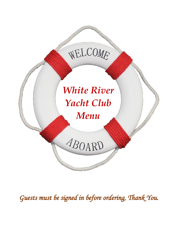# WELCOME

## *White River Yacht Club Menu*

ABOARD

*Guests must be signed in before ordering, Thank You.*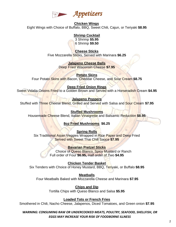

#### **Chicken Wings** Eight Wings with Choice of Buffalo, BBQ, Sweet Chili, Cajun, or Teriyaki **\$8.95**

#### **Shrimp Cocktail**

3 Shrimp **\$5.95** 6 Shrimp **\$9.50**

#### **Cheese Sticks**

Five Mozzarella Sticks, Served with Marinara **\$6.25**

**Jalapeno Cheese Balls** Deep Fried Wisconsin Cheese **\$7.95**

**Potato Skins**

Four Potato Skins with Bacon, Cheddar Cheese, and Sour Cream **\$8.75**

#### **Deep Fried Onion Rings**

Sweet Vidalia Onions Fried to a Golden Brown and Served with a Horseradish Cream **\$4.95**

#### **Jalapeno Poppers**

Stuffed with Three Cheese Blend, Grilled and Served with Salsa and Sour Cream **\$7.95**

#### **Stuffed Mushrooms**

Housemade Cheese Blend, Italian Vinaigrette and Balsamic Reduction **\$8.95**

#### **8oz Fried Mushrooms \$6.25**

**Spring Rolls** Six Traditional Asian Veggies Wrapped in Rice Paper and Deep Fried Served with Sweet Thai Chili Sauce **\$7.95**

#### **Bavarian Pretzel Sticks**

 Choice of Queso Blanco, Spicy Mustard or Ranch Full order of Four **\$6.95,** Half order of Two **\$4.95**

**Chicken Tender Basket** Six Tenders with Choice of Honey Mustard, BBQ, Teriyaki, or Buffalo **\$8.95**

**Meatballs** Four Meatballs Baked with Mozzarella Cheese and Marinara **\$7.95**

> **Chips and Dip** Tortilla Chips with Queso Blanco and Salsa **\$5.95**

#### **Loaded Tots or French Fries**

Smothered in Chili, Nacho Cheese, Jalapenos, Diced Tomatoes, and Green onion **\$7.95**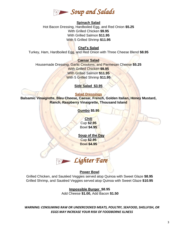

#### **Spinach Salad**

Hot Bacon Dressing, Hardboiled Egg, and Red Onion **\$5.25** With Grilled Chicken **\$9.95** With Grilled Salmon **\$11.95** With 5 Grilled Shrimp **\$11.95**

#### **Chef's Salad**

Turkey, Ham, Hardboiled Egg, and Red Onion with Three Cheese Blend **\$8.95**

#### **Caesar Salad**

Housemade Dressing, Garlic Croutons, and Parmesan Cheese **\$5.25** With Grilled Chicken **\$9.95** With Grilled Salmon **\$11.95** With 5 Grilled Shrimp **\$11.95**

#### **Side Salad \$3.95**

#### **Salad Dressings**

**Balsamic Vinaigrette, Bleu Cheese, Caesar, French, Golden Italian, Honey Mustard, Ranch, Raspberry Vinaigrette, Thousand Island**

**Gumbo \$5.95**

**Chili**  Cup **\$2.95** Bowl **\$4.95**

 **Soup of the Day** Cup **\$2.95** Bowl **\$4.95**

*Lighter Fare* 

#### **Power Bowl**

Grilled Chicken, and Sautéed Veggies served atop Quinoa with Sweet Glaze **\$8.95** Grilled Shrimp, and Sautéed Veggies served atop Quinoa with Sweet Glaze **\$10.95**

**Impossible Burger \$8.95**

Add Cheese **\$1.00,** Add Bacon **\$1.50**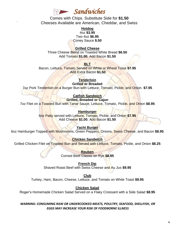

`

Comes with Chips. Substitute Side for **\$1.50** Cheeses Available are American, Cheddar, and Swiss

> **Hotdog** 4oz **\$3.95** Two 4oz **\$6.95** Coney Sauce **\$.50**

#### **Grilled Cheese**

Three Cheese Blend on Toasted White Bread **\$6.50** Add Tomato **\$1.00**, Add Bacon **\$1.50**

#### **BLT**

Bacon, Lettuce, Tomato Served on White or Wheat Toast **\$7.95** Add Extra Bacon **\$1.50**

> **Tenderloin Grilled or Breaded**

7oz Pork Tenderloin on a Burger Bun with Lettuce, Tomato, Pickle, and Onion. **\$7.95**

#### **Catfish Sandwich**

**Grilled, Breaded or Cajun** 7oz Filet on a Toasted Bun with Tartar Sauce, Lettuce, Tomato, Pickle, and Onion **\$8.95**

> **Hamburger** 6oz Patty served with Lettuce, Tomato, Pickle, and Onion **\$7.95** Add Cheese **\$1.00**, Add Bacon **\$1.50**

> > **Yacht Burger**

6oz Hamburger Topped with Mushrooms, Green Peppers, Onions, Swiss Cheese, and Bacon **\$8.95**

**Chicken Sandwich** Grilled Chicken Filet on Toasted Bun and Served with Lettuce, Tomato, Pickle, and Onion **\$8.25**

> **Reuben** Corned Beef Classic on Rye **\$8.95**

**French Dip** Shaved Roast Beef with Swiss Cheese and Au Jus **\$9.95**

**Club** Turkey, Ham, Bacon, Cheese, Lettuce, and Tomato on White Toast **\$9.95**

**Chicken Salad**

Roger's Homemade Chicken Salad Served on a Flaky Croissant with a Side Salad **\$8.95**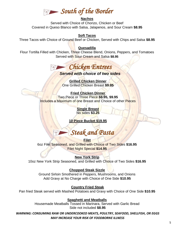### *South of the Border*

#### **Nachos**

Served with Choice of Chorizo, Chicken or Beef Covered in Queso Blanco with Salsa, Jalapenos, and Sour Cream **\$8.95**

#### **Soft Tacos**

Three Tacos with Choice of Ground Beef or Chicken, Served with Chips and Salsa **\$8.95**

#### **Quesadilla**

Flour Tortilla Filled with Chicken, Three Cheese Blend, Onions, Peppers, and Tomatoes Served with Sour Cream and Salsa **\$8.95**



#### *Served with choice of two sides*

**Grilled Chicken Dinner** One Grilled Chicken Breast **\$9.95**

**Fried Chicken Dinner** Two Piece or Three Piece **\$8.95, \$9.95** Includes a Maximum of one Breast and Choice of other Pieces

> **Single Breast** No sides **\$3.25**

**10 Piece Bucket \$19.95**

*Steak and Pasta*

**Filet** 6oz Filet Seasoned, and Grilled with Choice of Two Sides **\$16.95** Filet Night Special **\$14.95**

#### **New York Strip**

10oz New York Strip Seasoned, and Grilled with Choice of Two Sides **\$16.95**

#### **Chopped Steak Sizzle**

Ground Sirloin Smothered in Peppers, Mushrooms, and Onions Add Gravy at No Charge with Choice of One Side **\$10.95**

#### **Country Fried Steak**

Pan fried Steak served with Mashed Potatoes and Gravy with Choice of One Side **\$10.95**

#### **Spaghetti and Meatballs**

Housemade Meatballs Tossed in Marinara, Served with Garlic Bread Side not included **\$8.95**